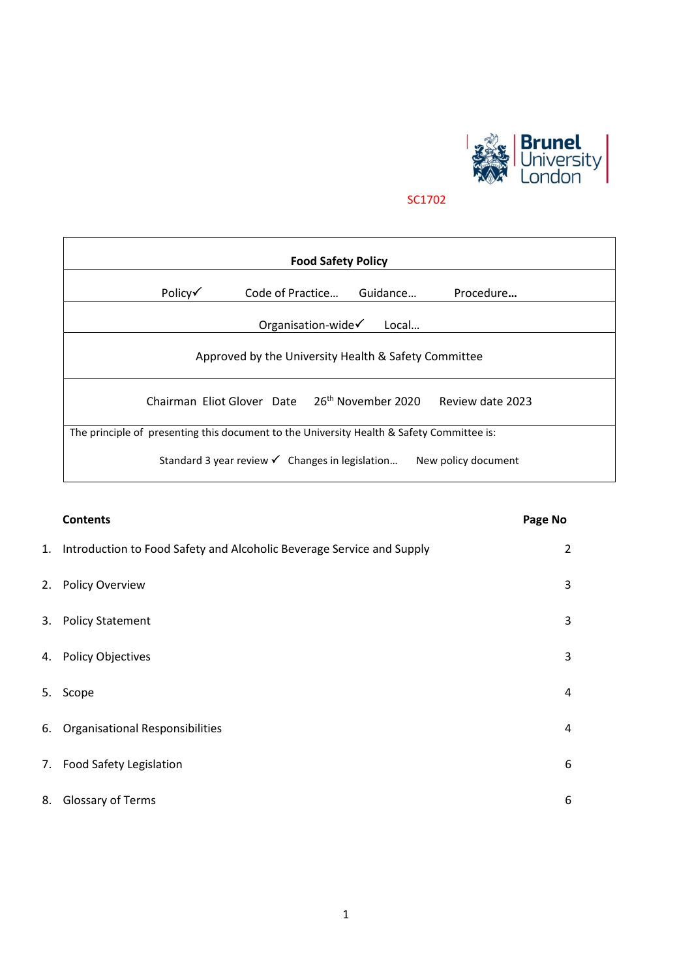

SC1702

| <b>Food Safety Policy</b>                                                                 |                            |                                |                  |  |  |
|-------------------------------------------------------------------------------------------|----------------------------|--------------------------------|------------------|--|--|
| Policy√                                                                                   | Code of Practice           | Guidance                       | Procedure        |  |  |
| Organisation-wide $\checkmark$<br>Local                                                   |                            |                                |                  |  |  |
| Approved by the University Health & Safety Committee                                      |                            |                                |                  |  |  |
|                                                                                           | Chairman Eliot Glover Date | 26 <sup>th</sup> November 2020 | Review date 2023 |  |  |
| The principle of presenting this document to the University Health & Safety Committee is: |                            |                                |                  |  |  |
| Standard 3 year review $\checkmark$ Changes in legislation<br>New policy document         |                            |                                |                  |  |  |

|    | <b>Contents</b>                                                          | Page No |
|----|--------------------------------------------------------------------------|---------|
|    | 1. Introduction to Food Safety and Alcoholic Beverage Service and Supply | 2       |
|    | 2. Policy Overview                                                       | 3       |
|    | 3. Policy Statement                                                      | 3       |
|    | 4. Policy Objectives                                                     | 3       |
| 5. | Scope                                                                    | 4       |
|    | 6. Organisational Responsibilities                                       | 4       |
|    | 7. Food Safety Legislation                                               | 6       |
| 8. | Glossary of Terms                                                        | 6       |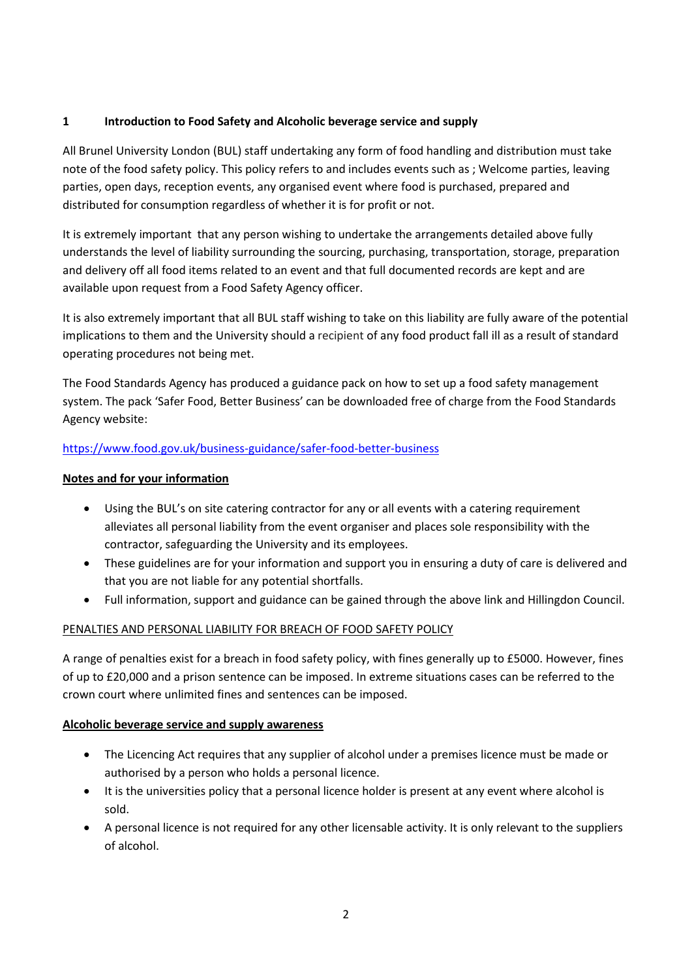## **1 Introduction to Food Safety and Alcoholic beverage service and supply**

All Brunel University London (BUL) staff undertaking any form of food handling and distribution must take note of the food safety policy. This policy refers to and includes events such as ; Welcome parties, leaving parties, open days, reception events, any organised event where food is purchased, prepared and distributed for consumption regardless of whether it is for profit or not.

It is extremely important that any person wishing to undertake the arrangements detailed above fully understands the level of liability surrounding the sourcing, purchasing, transportation, storage, preparation and delivery off all food items related to an event and that full documented records are kept and are available upon request from a Food Safety Agency officer.

It is also extremely important that all BUL staff wishing to take on this liability are fully aware of the potential implications to them and the University should a recipient of any food product fall ill as a result of standard operating procedures not being met.

The Food Standards Agency has produced a guidance pack on how to set up a food safety management system. The pack 'Safer Food, Better Business' can be downloaded free of charge from the Food Standards Agency website:

## <https://www.food.gov.uk/business-guidance/safer-food-better-business>

## **Notes and for your information**

- Using the BUL's on site catering contractor for any or all events with a catering requirement alleviates all personal liability from the event organiser and places sole responsibility with the contractor, safeguarding the University and its employees.
- These guidelines are for your information and support you in ensuring a duty of care is delivered and that you are not liable for any potential shortfalls.
- Full information, support and guidance can be gained through the above link and Hillingdon Council.

## PENALTIES AND PERSONAL LIABILITY FOR BREACH OF FOOD SAFETY POLICY

A range of penalties exist for a breach in food safety policy, with fines generally up to £5000. However, fines of up to £20,000 and a prison sentence can be imposed. In extreme situations cases can be referred to the crown court where unlimited fines and sentences can be imposed.

## **Alcoholic beverage service and supply awareness**

- The Licencing Act requires that any supplier of alcohol under a premises licence must be made or authorised by a person who holds a personal licence.
- It is the universities policy that a personal licence holder is present at any event where alcohol is sold.
- A personal licence is not required for any other licensable activity. It is only relevant to the suppliers of alcohol.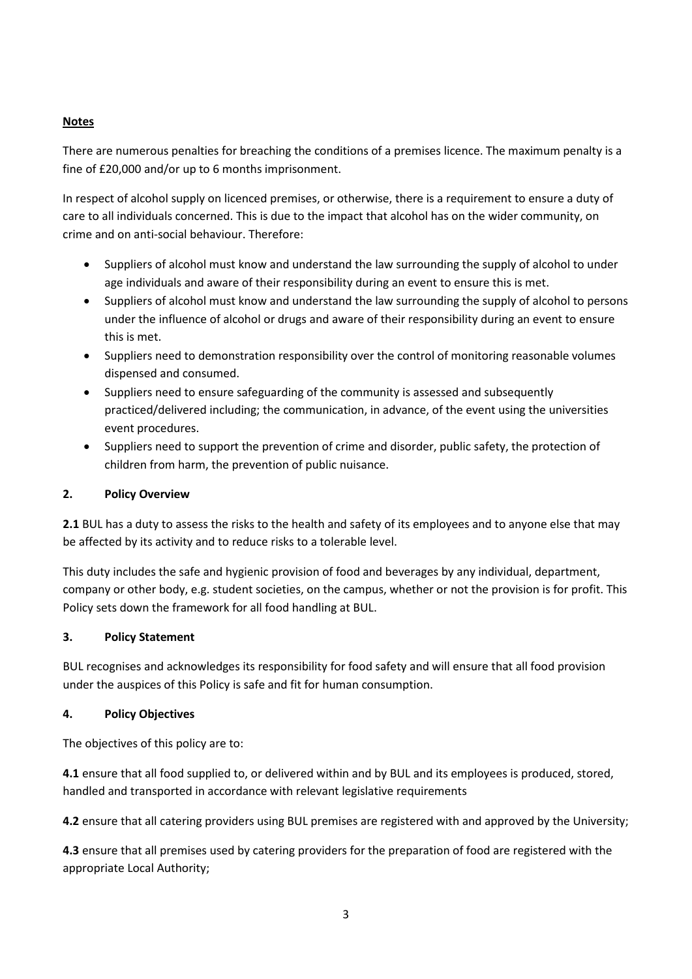## **Notes**

There are numerous penalties for breaching the conditions of a premises licence. The maximum penalty is a fine of £20,000 and/or up to 6 months imprisonment.

In respect of alcohol supply on licenced premises, or otherwise, there is a requirement to ensure a duty of care to all individuals concerned. This is due to the impact that alcohol has on the wider community, on crime and on anti-social behaviour. Therefore:

- Suppliers of alcohol must know and understand the law surrounding the supply of alcohol to under age individuals and aware of their responsibility during an event to ensure this is met.
- Suppliers of alcohol must know and understand the law surrounding the supply of alcohol to persons under the influence of alcohol or drugs and aware of their responsibility during an event to ensure this is met.
- Suppliers need to demonstration responsibility over the control of monitoring reasonable volumes dispensed and consumed.
- Suppliers need to ensure safeguarding of the community is assessed and subsequently practiced/delivered including; the communication, in advance, of the event using the universities event procedures.
- Suppliers need to support the prevention of crime and disorder, public safety, the protection of children from harm, the prevention of public nuisance.

## **2. Policy Overview**

**2.1** BUL has a duty to assess the risks to the health and safety of its employees and to anyone else that may be affected by its activity and to reduce risks to a tolerable level.

This duty includes the safe and hygienic provision of food and beverages by any individual, department, company or other body, e.g. student societies, on the campus, whether or not the provision is for profit. This Policy sets down the framework for all food handling at BUL.

## **3. Policy Statement**

BUL recognises and acknowledges its responsibility for food safety and will ensure that all food provision under the auspices of this Policy is safe and fit for human consumption.

## **4. Policy Objectives**

The objectives of this policy are to:

**4.1** ensure that all food supplied to, or delivered within and by BUL and its employees is produced, stored, handled and transported in accordance with relevant legislative requirements

**4.2** ensure that all catering providers using BUL premises are registered with and approved by the University;

**4.3** ensure that all premises used by catering providers for the preparation of food are registered with the appropriate Local Authority;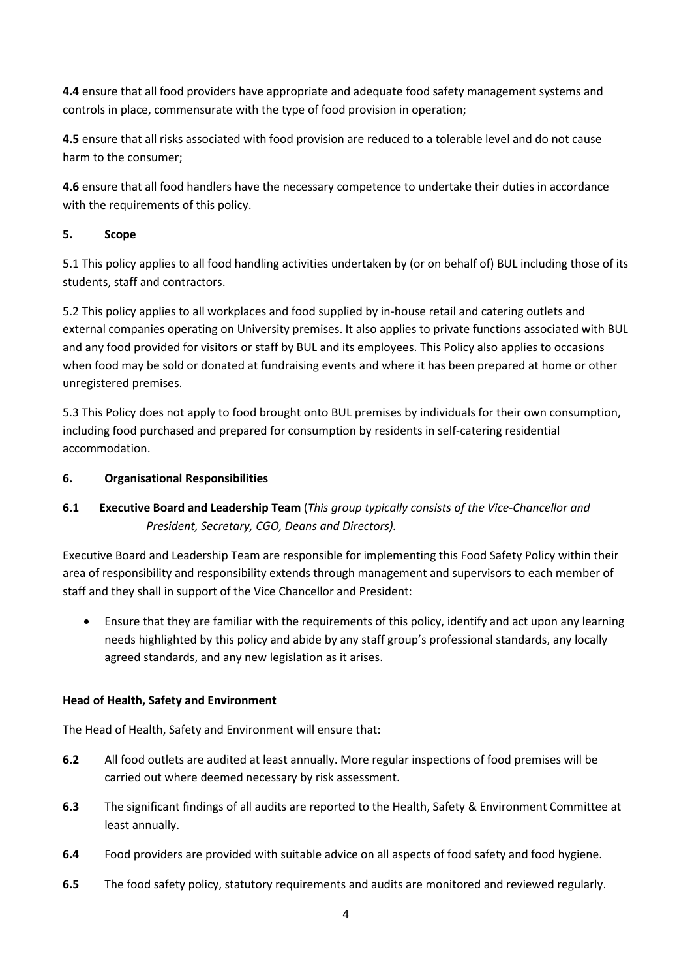**4.4** ensure that all food providers have appropriate and adequate food safety management systems and controls in place, commensurate with the type of food provision in operation;

**4.5** ensure that all risks associated with food provision are reduced to a tolerable level and do not cause harm to the consumer;

**4.6** ensure that all food handlers have the necessary competence to undertake their duties in accordance with the requirements of this policy.

## **5. Scope**

5.1 This policy applies to all food handling activities undertaken by (or on behalf of) BUL including those of its students, staff and contractors.

5.2 This policy applies to all workplaces and food supplied by in-house retail and catering outlets and external companies operating on University premises. It also applies to private functions associated with BUL and any food provided for visitors or staff by BUL and its employees. This Policy also applies to occasions when food may be sold or donated at fundraising events and where it has been prepared at home or other unregistered premises.

5.3 This Policy does not apply to food brought onto BUL premises by individuals for their own consumption, including food purchased and prepared for consumption by residents in self-catering residential accommodation.

## **6. Organisational Responsibilities**

# **6.1 Executive Board and Leadership Team** (*This group typically consists of the Vice-Chancellor and President, Secretary, CGO, Deans and Directors).*

Executive Board and Leadership Team are responsible for implementing this Food Safety Policy within their area of responsibility and responsibility extends through management and supervisors to each member of staff and they shall in support of the Vice Chancellor and President:

• Ensure that they are familiar with the requirements of this policy, identify and act upon any learning needs highlighted by this policy and abide by any staff group's professional standards, any locally agreed standards, and any new legislation as it arises.

## **Head of Health, Safety and Environment**

The Head of Health, Safety and Environment will ensure that:

- **6.2** All food outlets are audited at least annually. More regular inspections of food premises will be carried out where deemed necessary by risk assessment.
- **6.3** The significant findings of all audits are reported to the Health, Safety & Environment Committee at least annually.
- **6.4** Food providers are provided with suitable advice on all aspects of food safety and food hygiene.
- **6.5** The food safety policy, statutory requirements and audits are monitored and reviewed regularly.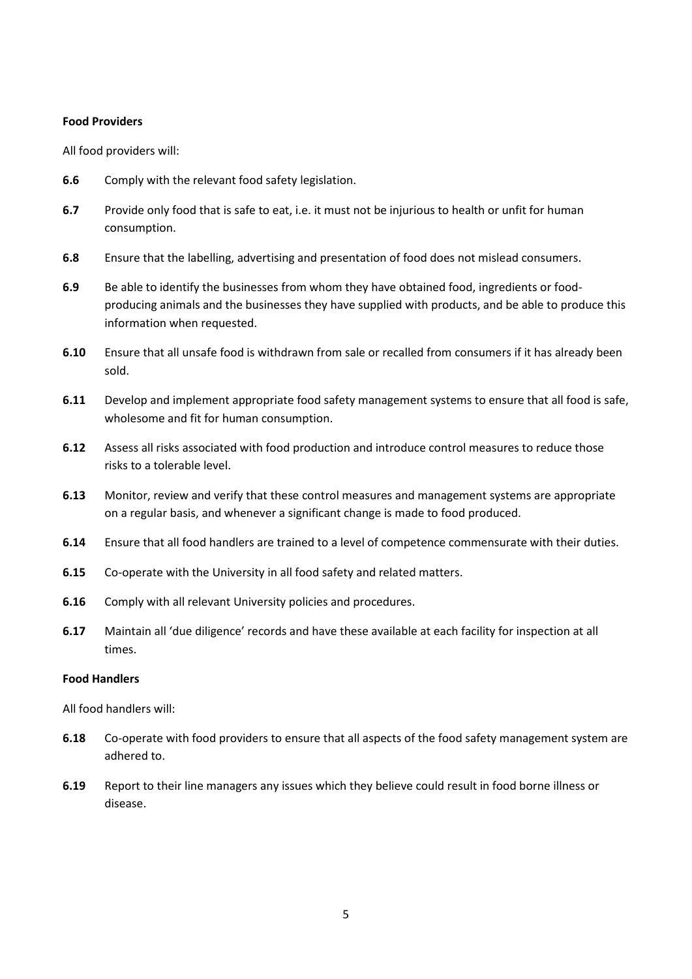#### **Food Providers**

All food providers will:

- **6.6** Comply with the relevant food safety legislation.
- **6.7** Provide only food that is safe to eat, i.e. it must not be injurious to health or unfit for human consumption.
- **6.8** Ensure that the labelling, advertising and presentation of food does not mislead consumers.
- **6.9** Be able to identify the businesses from whom they have obtained food, ingredients or foodproducing animals and the businesses they have supplied with products, and be able to produce this information when requested.
- **6.10** Ensure that all unsafe food is withdrawn from sale or recalled from consumers if it has already been sold.
- **6.11** Develop and implement appropriate food safety management systems to ensure that all food is safe, wholesome and fit for human consumption.
- **6.12** Assess all risks associated with food production and introduce control measures to reduce those risks to a tolerable level.
- **6.13** Monitor, review and verify that these control measures and management systems are appropriate on a regular basis, and whenever a significant change is made to food produced.
- **6.14** Ensure that all food handlers are trained to a level of competence commensurate with their duties.
- **6.15** Co-operate with the University in all food safety and related matters.
- **6.16** Comply with all relevant University policies and procedures.
- **6.17** Maintain all 'due diligence' records and have these available at each facility for inspection at all times.

#### **Food Handlers**

All food handlers will:

- **6.18** Co-operate with food providers to ensure that all aspects of the food safety management system are adhered to.
- **6.19** Report to their line managers any issues which they believe could result in food borne illness or disease.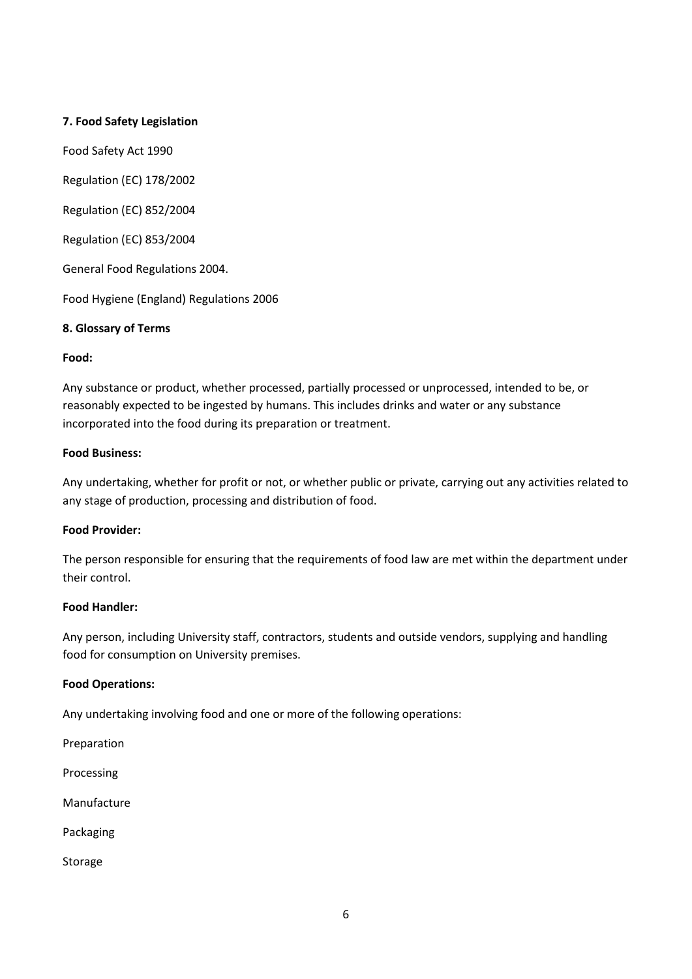## **7. Food Safety Legislation**

Food Safety Act 1990

Regulation (EC) 178/2002

Regulation (EC) 852/2004

Regulation (EC) 853/2004

General Food Regulations 2004.

Food Hygiene (England) Regulations 2006

### **8. Glossary of Terms**

#### **Food:**

Any substance or product, whether processed, partially processed or unprocessed, intended to be, or reasonably expected to be ingested by humans. This includes drinks and water or any substance incorporated into the food during its preparation or treatment.

#### **Food Business:**

Any undertaking, whether for profit or not, or whether public or private, carrying out any activities related to any stage of production, processing and distribution of food.

#### **Food Provider:**

The person responsible for ensuring that the requirements of food law are met within the department under their control.

#### **Food Handler:**

Any person, including University staff, contractors, students and outside vendors, supplying and handling food for consumption on University premises.

#### **Food Operations:**

Any undertaking involving food and one or more of the following operations:

Preparation

Processing

Manufacture

Packaging

Storage